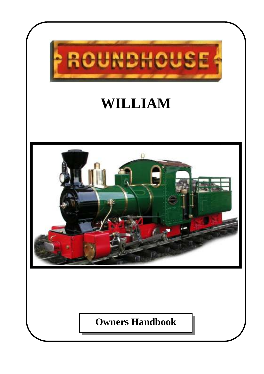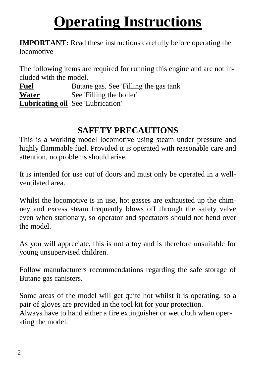# **Operating Instructions**

**IMPORTANT:** Read these instructions carefully before operating the locomotive

The following items are required for running this engine and are not included with the model.

**Fuel** Butane gas. See 'Filling the gas tank' **Water** See 'Filling the boiler' **Lubricating oil** See 'Lubrication'

# **SAFETY PRECAUTIONS**

This is a working model locomotive using steam under pressure and highly flammable fuel. Provided it is operated with reasonable care and attention, no problems should arise.

It is intended for use out of doors and must only be operated in a wellventilated area.

Whilst the locomotive is in use, hot gasses are exhausted up the chimney and excess steam frequently blows off through the safety valve even when stationary, so operator and spectators should not bend over the model.

As you will appreciate, this is not a toy and is therefore unsuitable for young unsupervised children.

Follow manufacturers recommendations regarding the safe storage of Butane gas canisters.

Some areas of the model will get quite hot whilst it is operating, so a pair of gloves are provided in the tool kit for your protection. Always have to hand either a fire extinguisher or wet cloth when operating the model.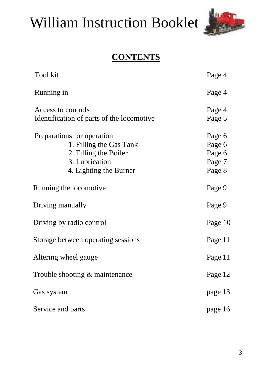# William Instruction Booklet



# **CONTENTS**

| Tool kit                                                                                                                   | Page 4                                         |
|----------------------------------------------------------------------------------------------------------------------------|------------------------------------------------|
| Running in                                                                                                                 | Page 4                                         |
| Access to controls<br>Identification of parts of the locomotive                                                            | Page 4<br>Page 5                               |
| Preparations for operation<br>1. Filling the Gas Tank<br>2. Filling the Boiler<br>3. Lubrication<br>4. Lighting the Burner | Page 6<br>Page 6<br>Page 6<br>Page 7<br>Page 8 |
| Running the locomotive                                                                                                     | Page 9                                         |
| Driving manually                                                                                                           | Page 9                                         |
| Driving by radio control                                                                                                   | Page 10                                        |
| Storage between operating sessions                                                                                         | Page 11                                        |
| Altering wheel gauge                                                                                                       | Page 11                                        |
| Trouble shooting & maintenance                                                                                             | Page 12                                        |
| Gas system                                                                                                                 | page 13                                        |
| Service and parts                                                                                                          | page 16                                        |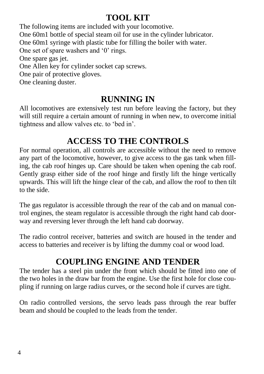# **TOOL KIT**

The following items are included with your locomotive. One 60m1 bottle of special steam oil for use in the cylinder lubricator. One 60m1 syringe with plastic tube for filling the boiler with water. One set of spare washers and '0' rings. One spare gas jet. One Allen key for cylinder socket cap screws. One pair of protective gloves. One cleaning duster.

#### **RUNNING IN**

All locomotives are extensively test run before leaving the factory, but they will still require a certain amount of running in when new, to overcome initial tightness and allow valves etc. to 'bed in'.

# **ACCESS TO THE CONTROLS**

For normal operation, all controls are accessible without the need to remove any part of the locomotive, however, to give access to the gas tank when filling, the cab roof hinges up. Care should be taken when opening the cab roof. Gently grasp either side of the roof hinge and firstly lift the hinge vertically upwards. This will lift the hinge clear of the cab, and allow the roof to then tilt to the side.

The gas regulator is accessible through the rear of the cab and on manual control engines, the steam regulator is accessible through the right hand cab doorway and reversing lever through the left hand cab doorway.

The radio control receiver, batteries and switch are housed in the tender and access to batteries and receiver is by lifting the dummy coal or wood load.

# **COUPLING ENGINE AND TENDER**

The tender has a steel pin under the front which should be fitted into one of the two holes in the draw bar from the engine. Use the first hole for close coupling if running on large radius curves, or the second hole if curves are tight.

On radio controlled versions, the servo leads pass through the rear buffer beam and should be coupled to the leads from the tender.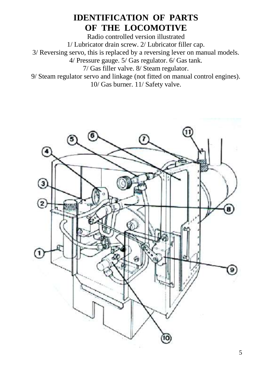#### **IDENTIFICATION OF PARTS OF THE LOCOMOTIVE**

Radio controlled version illustrated 1/ Lubricator drain screw. 2/ Lubricator filler cap. 3/ Reversing servo, this is replaced by a reversing lever on manual models. 4/ Pressure gauge. 5/ Gas regulator. 6/ Gas tank. 7/ Gas filler valve. 8/ Steam regulator. 9/ Steam regulator servo and linkage (not fitted on manual control engines). 10/ Gas burner. 11/ Safety valve.

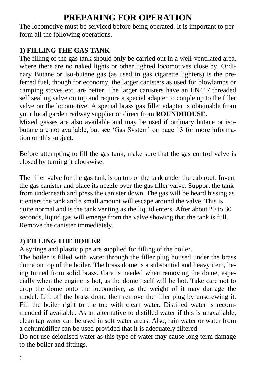# **PREPARING FOR OPERATION**

The locomotive must be serviced before being operated. It is important to perform all the following operations.

#### **1) FILLING THE GAS TANK**

The filling of the gas tank should only be carried out in a well-ventilated area, where there are no naked lights or other lighted locomotives close by. Ordinary Butane or Iso-butane gas (as used in gas cigarette lighters) is the preferred fuel, though for economy, the larger canisters as used for blowlamps or camping stoves etc. are better. The larger canisters have an EN417 threaded self sealing valve on top and require a special adapter to couple up to the filler valve on the locomotive. A special brass gas filler adapter is obtainable from your local garden railway supplier or direct from **ROUNDHOUSE.**

Mixed gasses are also available and may be used if ordinary butane or isobutane are not available, but see 'Gas System' on page 13 for more information on this subject.

Before attempting to fill the gas tank, make sure that the gas control valve is closed by turning it clockwise.

The filler valve for the gas tank is on top of the tank under the cab roof. Invert the gas canister and place its nozzle over the gas filler valve. Support the tank from underneath and press the canister down. The gas will be heard hissing as it enters the tank and a small amount will escape around the valve. This is quite normal and is the tank venting as the liquid enters. After about 20 to 30 seconds, liquid gas will emerge from the valve showing that the tank is full. Remove the canister immediately.

#### **2) FILLING THE BOILER**

A syringe and plastic pipe are supplied for filling of the boiler.

The boiler is filled with water through the filler plug housed under the brass dome on top of the boiler. The brass dome is a substantial and heavy item, being turned from solid brass. Care is needed when removing the dome, especially when the engine is hot, as the dome itself will be hot. Take care not to drop the dome onto the locomotive, as the weight of it may damage the model. Lift off the brass dome then remove the filler plug by unscrewing it. Fill the boiler right to the top with clean water. Distilled water is recommended if available. As an alternative to distilled water if this is unavailable, clean tap water can be used in soft water areas. Also, rain water or water from a dehumidifier can be used provided that it is adequately filtered

Do not use deionised water as this type of water may cause long term damage to the boiler and fittings.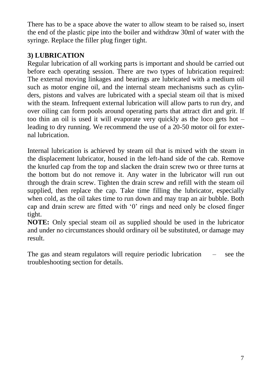There has to be a space above the water to allow steam to be raised so, insert the end of the plastic pipe into the boiler and withdraw 30ml of water with the syringe. Replace the filler plug finger tight.

#### **3) LUBRICATION**

Regular lubrication of all working parts is important and should be carried out before each operating session. There are two types of lubrication required: The external moving linkages and bearings are lubricated with a medium oil such as motor engine oil, and the internal steam mechanisms such as cylinders, pistons and valves are lubricated with a special steam oil that is mixed with the steam. Infrequent external lubrication will allow parts to run dry, and over oiling can form pools around operating parts that attract dirt and grit. If too thin an oil is used it will evaporate very quickly as the loco gets hot – leading to dry running. We recommend the use of a 20-50 motor oil for external lubrication.

Internal lubrication is achieved by steam oil that is mixed with the steam in the displacement lubricator, housed in the left-hand side of the cab. Remove the knurled cap from the top and slacken the drain screw two or three turns at the bottom but do not remove it. Any water in the lubricator will run out through the drain screw. Tighten the drain screw and refill with the steam oil supplied, then replace the cap. Take time filling the lubricator, especially when cold, as the oil takes time to run down and may trap an air bubble. Both cap and drain screw are fitted with '0' rings and need only be closed finger tight.

**NOTE:** Only special steam oil as supplied should be used in the lubricator and under no circumstances should ordinary oil be substituted, or damage may result.

The gas and steam regulators will require periodic lubrication – see the troubleshooting section for details.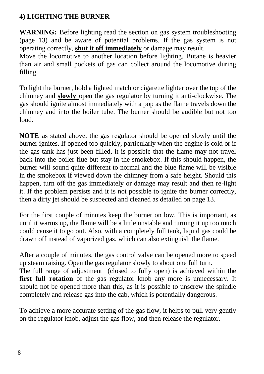#### **4) LIGHTING THE BURNER**

**WARNING:** Before lighting read the section on gas system troubleshooting (page 13) and be aware of potential problems. If the gas system is not operating correctly, **shut it off immediately** or damage may result.

Move the locomotive to another location before lighting. Butane is heavier than air and small pockets of gas can collect around the locomotive during filling.

To light the burner, hold a lighted match or cigarette lighter over the top of the chimney and **slowly** open the gas regulator by turning it anti-clockwise. The gas should ignite almost immediately with a pop as the flame travels down the chimney and into the boiler tube. The burner should be audible but not too loud.

**NOTE** as stated above, the gas regulator should be opened slowly until the burner ignites. If opened too quickly, particularly when the engine is cold or if the gas tank has just been filled, it is possible that the flame may not travel back into the boiler flue but stay in the smokebox. If this should happen, the burner will sound quite different to normal and the blue flame will be visible in the smokebox if viewed down the chimney from a safe height. Should this happen, turn off the gas immediately or damage may result and then re-light it. If the problem persists and it is not possible to ignite the burner correctly, then a dirty jet should be suspected and cleaned as detailed on page 13.

For the first couple of minutes keep the burner on low. This is important, as until it warms up, the flame will be a little unstable and turning it up too much could cause it to go out. Also, with a completely full tank, liquid gas could be drawn off instead of vaporized gas, which can also extinguish the flame.

After a couple of minutes, the gas control valve can be opened more to speed up steam raising. Open the gas regulator slowly to about one full turn.

The full range of adjustment (closed to fully open) is achieved within the **first full rotation** of the gas regulator knob any more is unnecessary. It should not be opened more than this, as it is possible to unscrew the spindle completely and release gas into the cab, which is potentially dangerous.

To achieve a more accurate setting of the gas flow, it helps to pull very gently on the regulator knob, adjust the gas flow, and then release the regulator.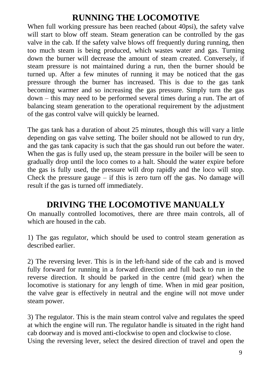# **RUNNING THE LOCOMOTIVE**

When full working pressure has been reached (about 40psi), the safety valve will start to blow off steam. Steam generation can be controlled by the gas valve in the cab. If the safety valve blows off frequently during running, then too much steam is being produced, which wastes water and gas. Turning down the burner will decrease the amount of steam created. Conversely, if steam pressure is not maintained during a run, then the burner should be turned up. After a few minutes of running it may be noticed that the gas pressure through the burner has increased. This is due to the gas tank becoming warmer and so increasing the gas pressure. Simply turn the gas down – this may need to be performed several times during a run. The art of balancing steam generation to the operational requirement by the adjustment of the gas control valve will quickly be learned.

The gas tank has a duration of about 25 minutes, though this will vary a little depending on gas valve setting. The boiler should not be allowed to run dry, and the gas tank capacity is such that the gas should run out before the water. When the gas is fully used up, the steam pressure in the boiler will be seen to gradually drop until the loco comes to a halt. Should the water expire before the gas is fully used, the pressure will drop rapidly and the loco will stop. Check the pressure gauge  $-$  if this is zero turn off the gas. No damage will result if the gas is turned off immediately.

#### **DRIVING THE LOCOMOTIVE MANUALLY**

On manually controlled locomotives, there are three main controls, all of which are housed in the cab.

1) The gas regulator, which should be used to control steam generation as described earlier.

2) The reversing lever. This is in the left-hand side of the cab and is moved fully forward for running in a forward direction and full back to run in the reverse direction. It should be parked in the centre (mid gear) when the locomotive is stationary for any length of time. When in mid gear position, the valve gear is effectively in neutral and the engine will not move under steam power.

3) The regulator. This is the main steam control valve and regulates the speed at which the engine will run. The regulator handle is situated in the right hand cab doorway and is moved anti-clockwise to open and clockwise to close. Using the reversing lever, select the desired direction of travel and open the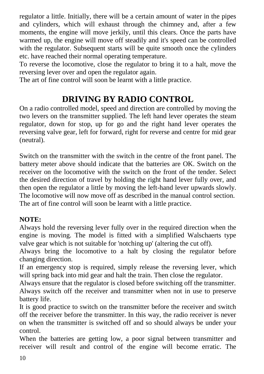regulator a little. Initially, there will be a certain amount of water in the pipes and cylinders, which will exhaust through the chimney and, after a few moments, the engine will move jerkily, until this clears. Once the parts have warmed up, the engine will move off steadily and it's speed can be controlled with the regulator. Subsequent starts will be quite smooth once the cylinders etc. have reached their normal operating temperature.

To reverse the locomotive, close the regulator to bring it to a halt, move the reversing lever over and open the regulator again.

The art of fine control will soon be learnt with a little practice.

# **DRIVING BY RADIO CONTROL**

On a radio controlled model, speed and direction are controlled by moving the two levers on the transmitter supplied. The left hand lever operates the steam regulator, down for stop, up for go and the right hand lever operates the reversing valve gear, left for forward, right for reverse and centre for mid gear (neutral).

Switch on the transmitter with the switch in the centre of the front panel. The battery meter above should indicate that the batteries are OK. Switch on the receiver on the locomotive with the switch on the front of the tender. Select the desired direction of travel by holding the right hand lever fully over, and then open the regulator a little by moving the left-hand lever upwards slowly. The locomotive will now move off as described in the manual control section. The art of fine control will soon be learnt with a little practice.

#### **NOTE:**

Always hold the reversing lever fully over in the required direction when the engine is moving. The model is fitted with a simplified Walschaerts type valve gear which is not suitable for 'notching up' (altering the cut off).

Always bring the locomotive to a halt by closing the regulator before changing direction.

If an emergency stop is required, simply release the reversing lever, which will spring back into mid gear and halt the train. Then close the regulator.

Always ensure that the regulator is closed before switching off the transmitter. Always switch off the receiver and transmitter when not in use to preserve battery life.

It is good practice to switch on the transmitter before the receiver and switch off the receiver before the transmitter. In this way, the radio receiver is never on when the transmitter is switched off and so should always be under your control.

When the batteries are getting low, a poor signal between transmitter and receiver will result and control of the engine will become erratic. The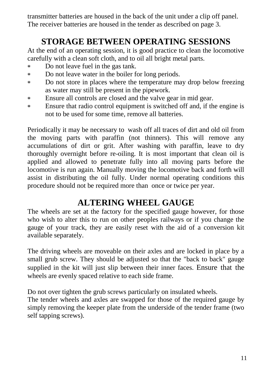transmitter batteries are housed in the back of the unit under a clip off panel. The receiver batteries are housed in the tender as described on page 3.

# **STORAGE BETWEEN OPERATING SESSIONS**

At the end of an operating session, it is good practice to clean the locomotive carefully with a clean soft cloth, and to oil all bright metal parts.

- Do not leave fuel in the gas tank. ×.
- Do not leave water in the boiler for long periods.  $\ast$
- Do not store in places where the temperature may drop below freezing  $\ast$ as water may still be present in the pipework.
- Ensure all controls are closed and the valve gear in mid gear. \*
- Ensure that radio control equipment is switched off and, if the engine is  $\ast$ not to be used for some time, remove all batteries.

Periodically it may be necessary to wash off all traces of dirt and old oil from the moving parts with paraffin (not thinners). This will remove any accumulations of dirt or grit. After washing with paraffin, leave to dry thoroughly overnight before re-oiling. It is most important that clean oil is applied and allowed to penetrate fully into all moving parts before the locomotive is run again. Manually moving the locomotive back and forth will assist in distributing the oil fully. Under normal operating conditions this procedure should not be required more than once or twice per year.

#### **ALTERING WHEEL GAUGE**

The wheels are set at the factory for the specified gauge however, for those who wish to alter this to run on other peoples railways or if you change the gauge of your track, they are easily reset with the aid of a conversion kit available separately.

The driving wheels are moveable on their axles and are locked in place by a small grub screw. They should be adjusted so that the "back to back" gauge supplied in the kit will just slip between their inner faces. Ensure that the wheels are evenly spaced relative to each side frame.

Do not over tighten the grub screws particularly on insulated wheels.

The tender wheels and axles are swapped for those of the required gauge by simply removing the keeper plate from the underside of the tender frame (two self tapping screws).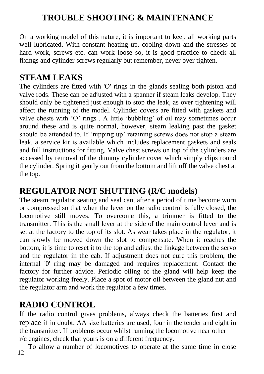# **TROUBLE SHOOTING & MAINTENANCE**

On a working model of this nature, it is important to keep all working parts well lubricated. With constant heating up, cooling down and the stresses of hard work, screws etc. can work loose so, it is good practice to check all fixings and cylinder screws regularly but remember, never over tighten.

#### **STEAM LEAKS**

The cylinders are fitted with 'O' rings in the glands sealing both piston and valve rods. These can be adjusted with a spanner if steam leaks develop. They should only be tightened just enough to stop the leak, as over tightening will affect the running of the model. Cylinder covers are fitted with gaskets and valve chests with 'O' rings . A little 'bubbling' of oil may sometimes occur around these and is quite normal, however, steam leaking past the gasket should be attended to. If 'nipping up' retaining screws does not stop a steam leak, a service kit is available which includes replacement gaskets and seals and full instructions for fitting. Valve chest screws on top of the cylinders are accessed by removal of the dummy cylinder cover which simply clips round the cylinder. Spring it gently out from the bottom and lift off the valve chest at the top.

#### **REGULATOR NOT SHUTTING (R/C models)**

The steam regulator seating and seal can, after a period of time become worn or compressed so that when the lever on the radio control is fully closed, the locomotive still moves. To overcome this, a trimmer is fitted to the transmitter. This is the small lever at the side of the main control lever and is set at the factory to the top of its slot. As wear takes place in the regulator, it can slowly be moved down the slot to compensate. When it reaches the bottom, it is time to reset it to the top and adjust the linkage between the servo and the regulator in the cab. If adjustment does not cure this problem, the internal '0' ring may be damaged and requires replacement. Contact the factory for further advice. Periodic oiling of the gland will help keep the regulator working freely. Place a spot of motor oil between the gland nut and the regulator arm and work the regulator a few times.

#### **RADIO CONTROL**

If the radio control gives problems, always check the batteries first and replace if in doubt. AA size batteries are used, four in the tender and eight in the transmitter. If problems occur whilst running the locomotive near other r/c engines, check that yours is on a different frequency.

To allow a number of locomotives to operate at the same time in close 12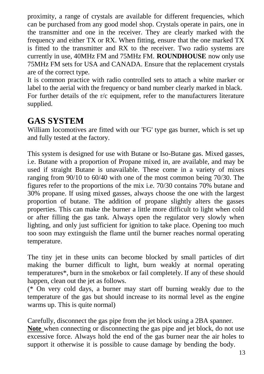proximity, a range of crystals are available for different frequencies, which can be purchased from any good model shop. Crystals operate in pairs, one in the transmitter and one in the receiver. They are clearly marked with the frequency and either TX or RX. When fitting, ensure that the one marked TX is fitted to the transmitter and RX to the receiver. Two radio systems are currently in use, 40MHz FM and 75MHz FM. **ROUNDHOUSE** now only use 75MHz FM sets for USA and CANADA. Ensure that the replacement crystals are of the correct type.

It is common practice with radio controlled sets to attach a white marker or label to the aerial with the frequency or band number clearly marked in black. For further details of the r/c equipment, refer to the manufacturers literature supplied.

### **GAS SYSTEM**

William locomotives are fitted with our 'FG' type gas burner, which is set up and fully tested at the factory.

This system is designed for use with Butane or Iso-Butane gas. Mixed gasses, i.e. Butane with a proportion of Propane mixed in, are available, and may be used if straight Butane is unavailable. These come in a variety of mixes ranging from 90/10 to 60/40 with one of the most common being 70/30. The figures refer to the proportions of the mix i.e. 70/30 contains 70% butane and 30% propane. If using mixed gasses, always choose the one with the largest proportion of butane. The addition of propane slightly alters the gasses properties. This can make the burner a little more difficult to light when cold or after filling the gas tank. Always open the regulator very slowly when lighting, and only just sufficient for ignition to take place. Opening too much too soon may extinguish the flame until the burner reaches normal operating temperature.

The tiny jet in these units can become blocked by small particles of dirt making the burner difficult to light, burn weakly at normal operating temperatures\*, burn in the smokebox or fail completely. If any of these should happen, clean out the jet as follows.

(\* On very cold days, a burner may start off burning weakly due to the temperature of the gas but should increase to its normal level as the engine warms up. This is quite normal)

Carefully, disconnect the gas pipe from the jet block using a 2BA spanner. **Note** when connecting or disconnecting the gas pipe and jet block, do not use excessive force. Always hold the end of the gas burner near the air holes to support it otherwise it is possible to cause damage by bending the body.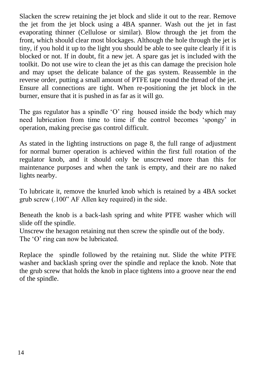Slacken the screw retaining the jet block and slide it out to the rear. Remove the jet from the jet block using a 4BA spanner. Wash out the jet in fast evaporating thinner (Cellulose or similar). Blow through the jet from the front, which should clear most blockages. Although the hole through the jet is tiny, if you hold it up to the light you should be able to see quite clearly if it is blocked or not. If in doubt, fit a new jet. A spare gas jet is included with the toolkit. Do not use wire to clean the jet as this can damage the precision hole and may upset the delicate balance of the gas system. Reassemble in the reverse order, putting a small amount of PTFE tape round the thread of the jet. Ensure all connections are tight. When re-positioning the jet block in the burner, ensure that it is pushed in as far as it will go.

The gas regulator has a spindle 'O' ring housed inside the body which may need lubrication from time to time if the control becomes 'spongy' in operation, making precise gas control difficult.

As stated in the lighting instructions on page 8, the full range of adjustment for normal burner operation is achieved within the first full rotation of the regulator knob, and it should only be unscrewed more than this for maintenance purposes and when the tank is empty, and their are no naked lights nearby.

To lubricate it, remove the knurled knob which is retained by a 4BA socket grub screw (.100" AF Allen key required) in the side.

Beneath the knob is a back-lash spring and white PTFE washer which will slide off the spindle.

Unscrew the hexagon retaining nut then screw the spindle out of the body. The 'O' ring can now be lubricated.

Replace the spindle followed by the retaining nut. Slide the white PTFE washer and backlash spring over the spindle and replace the knob. Note that the grub screw that holds the knob in place tightens into a groove near the end of the spindle.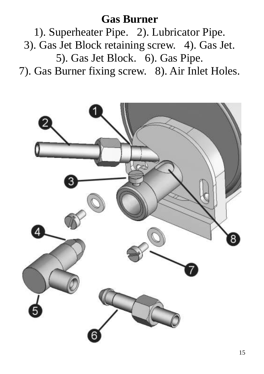# **Gas Burner**

1). Superheater Pipe. 2). Lubricator Pipe. 3). Gas Jet Block retaining screw. 4). Gas Jet. 5). Gas Jet Block. 6). Gas Pipe. 7). Gas Burner fixing screw. 8). Air Inlet Holes.